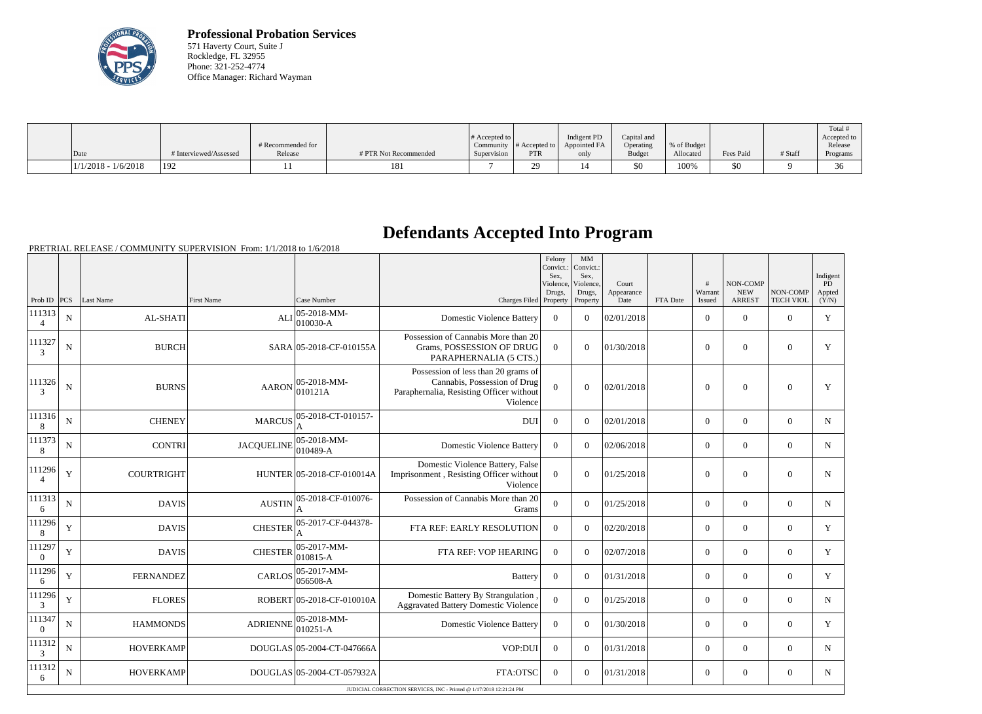

**Professional Probation Services** 571 Haverty Court, Suite J Rockledge, FL 32955 Phone: 321-252-4774 Office Manager: Richard Wayman

| Date                  | # Interviewed/Assessed | # Recommended for<br>Release | # PTR Not Recommended | $\#$ Accepted to $\ $<br>Supervision | Community $\#$ Accepted to<br><b>PTR</b> | Indigent PD<br>Appointed FA | Capital and<br>Operating<br><b>Budget</b> | % of Budget<br>Allocated | Fees Paid | # Staff | Total<br>Accepted to<br>Release |
|-----------------------|------------------------|------------------------------|-----------------------|--------------------------------------|------------------------------------------|-----------------------------|-------------------------------------------|--------------------------|-----------|---------|---------------------------------|
|                       |                        |                              |                       |                                      |                                          | only                        |                                           |                          |           |         | Programs                        |
| $1/1/2018 - 1/6/2018$ | 192                    |                              | 181                   |                                      | $\Omega$<br>⊷.                           |                             | \$0                                       | 100%                     | \$0       |         | 36                              |

## **Defendants Accepted Into Program**

PRETRIAL RELEASE / COMMUNITY SUPERVISION From: 1/1/2018 to 1/6/2018

|                          |                |                   |                   |                                  |                                                                                                                             | Felony<br>Convict.:<br>Sex.<br>Violence. | MM<br>Convict.:<br>Sex.<br>Violence, | Court              |          | #                 | <b>NON-COMP</b>             |                              | Indigent<br><b>PD</b> |
|--------------------------|----------------|-------------------|-------------------|----------------------------------|-----------------------------------------------------------------------------------------------------------------------------|------------------------------------------|--------------------------------------|--------------------|----------|-------------------|-----------------------------|------------------------------|-----------------------|
| Prob ID $ PCS $          |                | Last Name         | <b>First Name</b> | Case Number                      | Charges Filed Property                                                                                                      | Drugs,                                   | Drugs,<br>Property                   | Appearance<br>Date | FTA Date | Warrant<br>Issued | <b>NEW</b><br><b>ARREST</b> | NON-COMP<br><b>TECH VIOL</b> | Appted<br>(Y/N)       |
| 111313                   | $\mathbf N$    | AL-SHATI          | <b>ALI</b>        | 05-2018-MM-<br>$010030-A$        | <b>Domestic Violence Battery</b>                                                                                            | $\overline{0}$                           | $\overline{0}$                       | 02/01/2018         |          | $\overline{0}$    | $\mathbf{0}$                | $\overline{0}$               | $\mathbf Y$           |
| 111327<br>3              | ${\bf N}$      | <b>BURCH</b>      |                   | SARA 05-2018-CF-010155A          | Possession of Cannabis More than 20<br>Grams, POSSESSION OF DRUG<br>PARAPHERNALIA (5 CTS.)                                  | $\overline{0}$                           | $\Omega$                             | 01/30/2018         |          | $\overline{0}$    | $\theta$                    | $\overline{0}$               | Y                     |
| 111326<br>3              | ${\bf N}$      | <b>BURNS</b>      | <b>AARON</b>      | $05-2018-MM$ -<br>010121A        | Possession of less than 20 grams of<br>Cannabis, Possession of Drug<br>Paraphernalia, Resisting Officer without<br>Violence | $\Omega$                                 | $\overline{0}$                       | 02/01/2018         |          | $\mathbf{0}$      | $\overline{0}$              | $\mathbf{0}$                 | Y                     |
| 111316<br>8              | $\overline{N}$ | <b>CHENEY</b>     | <b>MARCUS</b>     | 05-2018-CT-010157-               | <b>DUI</b>                                                                                                                  | $\Omega$                                 | $\Omega$                             | 02/01/2018         |          | $\Omega$          | $\theta$                    | $\Omega$                     | N                     |
| 111373<br>8              | $\mathbf N$    | <b>CONTRI</b>     | <b>JACQUELINE</b> | $05 - 2018 - MM -$<br>$010489-A$ | <b>Domestic Violence Battery</b>                                                                                            | $\Omega$                                 | $\Omega$                             | 02/06/2018         |          | $\overline{0}$    | $\theta$                    | $\Omega$                     | N                     |
| 111296                   | $\mathbf Y$    | <b>COURTRIGHT</b> |                   | HUNTER 05-2018-CF-010014A        | Domestic Violence Battery, False<br>Imprisonment, Resisting Officer without<br>Violence                                     | $\overline{0}$                           | $\mathbf{0}$                         | 01/25/2018         |          | $\overline{0}$    | $\mathbf{0}$                | $\mathbf{0}$                 | N                     |
| 111313<br>6              | N              | <b>DAVIS</b>      | <b>AUSTIN</b>     | 05-2018-CF-010076-               | Possession of Cannabis More than 20<br>Grams                                                                                | $\overline{0}$                           | $\overline{0}$                       | 01/25/2018         |          | $\overline{0}$    | $\overline{0}$              | $\mathbf{0}$                 | N                     |
| 111296<br>8              | Y              | <b>DAVIS</b>      | <b>CHESTER</b>    | 05-2017-CF-044378-               | FTA REF: EARLY RESOLUTION                                                                                                   | $\Omega$                                 | $\Omega$                             | 02/20/2018         |          | $\overline{0}$    | $\theta$                    | $\Omega$                     | Y                     |
| 111297<br>$\theta$       | $\mathbf Y$    | <b>DAVIS</b>      | <b>CHESTER</b>    | 05-2017-MM-<br>$010815 - A$      | FTA REF: VOP HEARING                                                                                                        | $\Omega$                                 | $\Omega$                             | 02/07/2018         |          | $\overline{0}$    | $\theta$                    | $\overline{0}$               | Y                     |
| 111296<br>6              | $\mathbf Y$    | <b>FERNANDEZ</b>  | <b>CARLOS</b>     | $ 05-2017-MM-$<br>056508-A       | <b>Battery</b>                                                                                                              | $\overline{0}$                           | $\Omega$                             | 01/31/2018         |          | $\overline{0}$    | $\theta$                    | $\Omega$                     | Y                     |
| 111296<br>3              | $\mathbf Y$    | <b>FLORES</b>     |                   | ROBERT 05-2018-CF-010010A        | Domestic Battery By Strangulation<br><b>Aggravated Battery Domestic Violence</b>                                            | $\overline{0}$                           | $\Omega$                             | 01/25/2018         |          | $\overline{0}$    | $\mathbf{0}$                | $\overline{0}$               | $\mathbf N$           |
| 111347<br>$\overline{0}$ | $\mathbf N$    | <b>HAMMONDS</b>   | ADRIENNE          | $05-2018-MM$ -<br>$010251 - A$   | <b>Domestic Violence Battery</b>                                                                                            | $\mathbf{0}$                             | $\Omega$                             | 01/30/2018         |          | $\overline{0}$    | $\mathbf{0}$                | $\overline{0}$               | Y                     |
| 111312<br>3              | N              | <b>HOVERKAMP</b>  |                   | DOUGLAS 05-2004-CT-047666A       | VOP:DUI                                                                                                                     | $\mathbf{0}$                             | $\Omega$                             | 01/31/2018         |          | $\overline{0}$    | $\theta$                    | $\overline{0}$               | $\mathbf N$           |
| 111312<br>6              | N              | <b>HOVERKAMP</b>  |                   | DOUGLAS 05-2004-CT-057932A       | FTA:OTSC                                                                                                                    | $\overline{0}$                           | $\Omega$                             | 01/31/2018         |          | $\overline{0}$    | $\theta$                    | $\Omega$                     | $\mathbf N$           |
|                          |                |                   |                   |                                  | JUDICIAL CORRECTION SERVICES. INC - Printed @ 1/17/2018 12:21:24 PM                                                         |                                          |                                      |                    |          |                   |                             |                              |                       |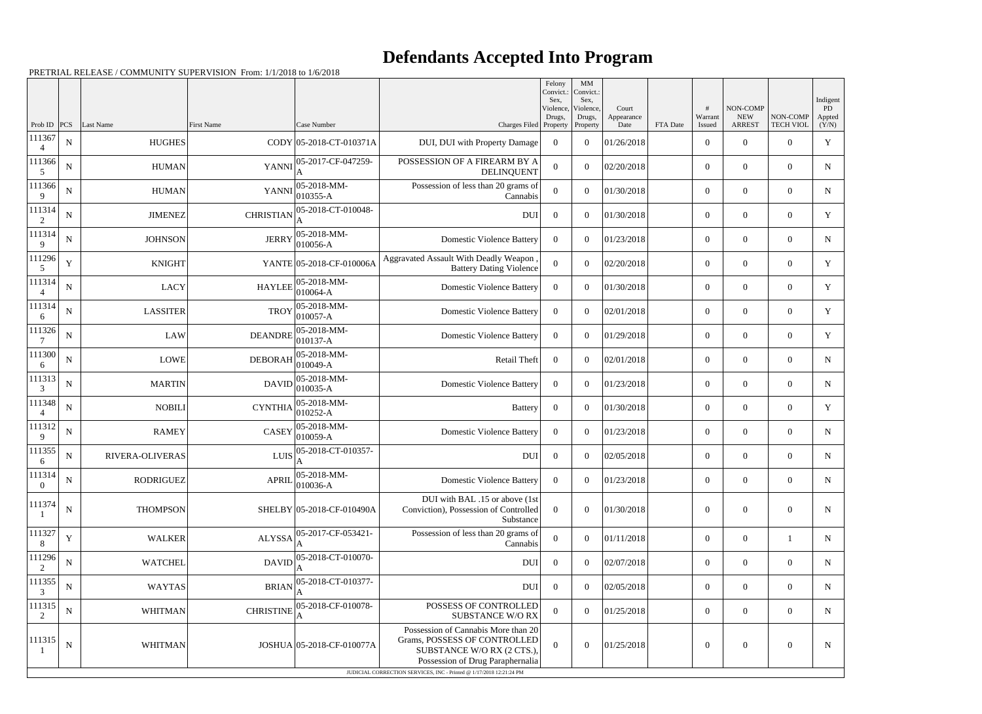## **Defendants Accepted Into Program**

PRETRIAL RELEASE / COMMUNITY SUPERVISION From: 1/1/2018 to 1/6/2018

|                          |             |                        |                   |                                                                                    |                                                                                                                                       | Felony<br>Convict.:<br>Sex. | MM<br>Convict.:<br>Sex,         |                             |          |                        |                                         |                              | Indigent              |
|--------------------------|-------------|------------------------|-------------------|------------------------------------------------------------------------------------|---------------------------------------------------------------------------------------------------------------------------------------|-----------------------------|---------------------------------|-----------------------------|----------|------------------------|-----------------------------------------|------------------------------|-----------------------|
| Prob ID                  | PCS         | Last Name              | <b>First Name</b> | Case Number                                                                        | Charges Filed Property                                                                                                                | Violence,<br>Drugs,         | Violence,<br>Drugs,<br>Property | Court<br>Appearance<br>Date | FTA Date | #<br>Warrant<br>Issued | NON-COMP<br><b>NEW</b><br><b>ARREST</b> | NON-COMP<br><b>TECH VIOL</b> | PD<br>Appted<br>(Y/N) |
| 111367<br>$\overline{4}$ | ${\bf N}$   | <b>HUGHES</b>          |                   | CODY 05-2018-CT-010371A                                                            | DUI, DUI with Property Damage                                                                                                         | $\overline{0}$              | $\theta$                        | 01/26/2018                  |          | $\boldsymbol{0}$       | $\overline{0}$                          | $\Omega$                     | $\mathbf Y$           |
| 111366<br>5              | $\mathbf N$ | <b>HUMAN</b>           | <b>YANNI</b>      | 05-2017-CF-047259-                                                                 | POSSESSION OF A FIREARM BY A<br><b>DELINQUENT</b>                                                                                     | $\Omega$                    | $\theta$                        | 02/20/2018                  |          | $\boldsymbol{0}$       | $\overline{0}$                          | $\overline{0}$               | N                     |
| 111366<br>9              | ${\bf N}$   | <b>HUMAN</b>           | <b>YANNI</b>      | 05-2018-MM-<br>010355-A                                                            | Possession of less than 20 grams of<br>Cannabis                                                                                       | $\theta$                    | $\theta$                        | 01/30/2018                  |          | $\overline{0}$         | $\Omega$                                | $\Omega$                     | N                     |
| 111314<br>2              | $\mathbf N$ | <b>JIMENEZ</b>         | <b>CHRISTIAN</b>  | 05-2018-CT-010048-                                                                 | <b>DUI</b>                                                                                                                            | $\overline{0}$              | $\theta$                        | 01/30/2018                  |          | $\overline{0}$         | $\overline{0}$                          | $\overline{0}$               | Y                     |
| 111314<br>9              | ${\bf N}$   | <b>JOHNSON</b>         | <b>JERRY</b>      | 05-2018-MM-<br>010056-A                                                            | <b>Domestic Violence Battery</b>                                                                                                      | $\Omega$                    | $\theta$                        | 01/23/2018                  |          | $\boldsymbol{0}$       | $\overline{0}$                          | $\Omega$                     | $\mathbf N$           |
| 111296<br>5              | Y           | <b>KNIGHT</b>          |                   | YANTE 05-2018-CF-010006A                                                           | Aggravated Assault With Deadly Weapon<br><b>Battery Dating Violence</b>                                                               | $\Omega$                    | $\theta$                        | 02/20/2018                  |          | $\boldsymbol{0}$       | $\overline{0}$                          | $\Omega$                     | Y                     |
| 111314<br>$\overline{4}$ | ${\bf N}$   | <b>LACY</b>            | <b>HAYLEE</b>     | 05-2018-MM-<br>010064-A                                                            | <b>Domestic Violence Battery</b>                                                                                                      | $\overline{0}$              | $\theta$                        | 01/30/2018                  |          | $\overline{0}$         | $\overline{0}$                          | $\Omega$                     | Y                     |
| 111314<br>6              | $\mathbf N$ | <b>LASSITER</b>        | <b>TROY</b>       | 05-2018-MM-<br>010057-A                                                            | <b>Domestic Violence Battery</b>                                                                                                      | $\Omega$                    | $\theta$                        | 02/01/2018                  |          | $\overline{0}$         | $\overline{0}$                          | $\overline{0}$               | Y                     |
| 111326<br>7              | ${\bf N}$   | <b>LAW</b>             | <b>DEANDRE</b>    | 05-2018-MM-<br>010137-A                                                            | <b>Domestic Violence Battery</b>                                                                                                      | $\overline{0}$              | $\theta$                        | 01/29/2018                  |          | $\boldsymbol{0}$       | $\Omega$                                | $\Omega$                     | $\mathbf Y$           |
| 111300<br>6              | $\mathbf N$ | <b>LOWE</b>            | <b>DEBORAH</b>    | 05-2018-MM-<br>010049-A                                                            | Retail Theft                                                                                                                          | $\overline{0}$              | $\theta$                        | 02/01/2018                  |          | $\boldsymbol{0}$       | $\overline{0}$                          | $\Omega$                     | $\mathbf N$           |
| 111313<br>3              | ${\bf N}$   | <b>MARTIN</b>          | <b>DAVID</b>      | 05-2018-MM-<br>010035-A                                                            | <b>Domestic Violence Battery</b>                                                                                                      | $\overline{0}$              | $\theta$                        | 01/23/2018                  |          | $\overline{0}$         | $\Omega$                                | $\Omega$                     | N                     |
| 111348                   | $\mathbf N$ | <b>NOBILI</b>          | <b>CYNTHIA</b>    | 05-2018-MM-<br>010252-A                                                            | <b>Battery</b>                                                                                                                        | $\overline{0}$              | $\overline{0}$                  | 01/30/2018                  |          | $\overline{0}$         | $\overline{0}$                          | $\overline{0}$               | Y                     |
| 111312<br>9              | ${\bf N}$   | <b>RAMEY</b>           | <b>CASEY</b>      | 05-2018-MM-<br>010059-A                                                            | <b>Domestic Violence Battery</b>                                                                                                      | $\overline{0}$              | $\theta$                        | 01/23/2018                  |          | $\boldsymbol{0}$       | $\overline{0}$                          | $\Omega$                     | N                     |
| 111355<br>6              | ${\bf N}$   | <b>RIVERA-OLIVERAS</b> | LUIS              | 05-2018-CT-010357-                                                                 | DUI                                                                                                                                   | $\overline{0}$              | $\theta$                        | 02/05/2018                  |          | $\overline{0}$         | $\overline{0}$                          | $\overline{0}$               | N                     |
| 111314<br>$\overline{0}$ | ${\bf N}$   | RODRIGUEZ              |                   | APRIL $\begin{bmatrix} 05{\text -}2018{\text -}M\\ 010036{\text -}A \end{bmatrix}$ | Domestic Violence Battery                                                                                                             | $\overline{0}$              | $\overline{0}$                  | 01/23/2018                  |          | $\mathbf{0}$           | $\overline{0}$                          | $\overline{0}$               | N                     |
| 111374                   | $\mathbf N$ | <b>THOMPSON</b>        |                   | SHELBY 05-2018-CF-010490A                                                          | DUI with BAL .15 or above (1st<br>Conviction), Possession of Controlled<br>Substance                                                  | $\overline{0}$              | $\overline{0}$                  | 01/30/2018                  |          | $\boldsymbol{0}$       | $\boldsymbol{0}$                        | $\overline{0}$               | N                     |
| 111327<br>8              | $\mathbf Y$ | <b>WALKER</b>          | <b>ALYSSA</b>     | 05-2017-CF-053421-                                                                 | Possession of less than 20 grams of<br>Cannabis                                                                                       | $\mathbf{0}$                | $\mathbf{0}$                    | 01/11/2018                  |          | $\mathbf{0}$           | $\overline{0}$                          |                              | N                     |
| 111296<br>2              | $\mathbf N$ | <b>WATCHEL</b>         |                   | $DAVID$ $\Big _{\Lambda}^{05-2018-CT-010070-}$                                     | DUI                                                                                                                                   | $\overline{0}$              | $\overline{0}$                  | 02/07/2018                  |          | $\overline{0}$         | $\overline{0}$                          | $\overline{0}$               | $\mathbf N$           |
| 111355<br>3              | ${\bf N}$   | <b>WAYTAS</b>          | <b>BRIAN</b>      | 05-2018-CT-010377-                                                                 | DUI                                                                                                                                   | $\overline{0}$              | $\overline{0}$                  | 02/05/2018                  |          | $\mathbf{0}$           | $\overline{0}$                          | $\overline{0}$               | N                     |
| 111315<br>2              | $\mathbf N$ | WHITMAN                | <b>CHRISTINE</b>  | 05-2018-CF-010078-                                                                 | POSSESS OF CONTROLLED<br><b>SUBSTANCE W/O RX</b>                                                                                      | $\theta$                    | $\overline{0}$                  | 01/25/2018                  |          | $\mathbf{0}$           | $\overline{0}$                          | $\overline{0}$               | N                     |
| 111315                   | $\mathbf N$ | WHITMAN                |                   | JOSHUA 05-2018-CF-010077A                                                          | Possession of Cannabis More than 20<br>Grams, POSSESS OF CONTROLLED<br>SUBSTANCE W/O RX (2 CTS.),<br>Possession of Drug Paraphernalia | $\overline{0}$              | $\boldsymbol{0}$                | 01/25/2018                  |          | $\boldsymbol{0}$       | $\boldsymbol{0}$                        | $\mathbf{0}$                 | N                     |
|                          |             |                        |                   |                                                                                    | JUDICIAL CORRECTION SERVICES, INC - Printed @ 1/17/2018 12:21:24 PM                                                                   |                             |                                 |                             |          |                        |                                         |                              |                       |